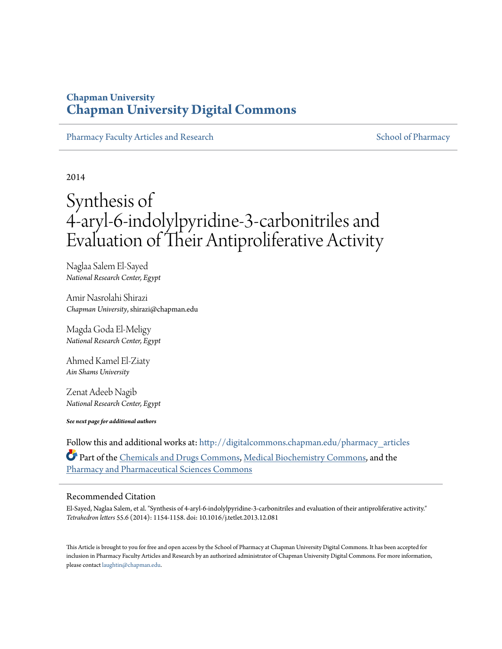# **Chapman University [Chapman University Digital Commons](http://digitalcommons.chapman.edu?utm_source=digitalcommons.chapman.edu%2Fpharmacy_articles%2F150&utm_medium=PDF&utm_campaign=PDFCoverPages)**

[Pharmacy Faculty Articles and Research](http://digitalcommons.chapman.edu/pharmacy_articles?utm_source=digitalcommons.chapman.edu%2Fpharmacy_articles%2F150&utm_medium=PDF&utm_campaign=PDFCoverPages) [School of Pharmacy](http://digitalcommons.chapman.edu/cusp?utm_source=digitalcommons.chapman.edu%2Fpharmacy_articles%2F150&utm_medium=PDF&utm_campaign=PDFCoverPages) School of Pharmacy

2014

# Synthesis of 4-aryl-6-indolylpyridine-3-carbonitriles and Evaluation of Their Antiproliferative Activity

Naglaa Salem El-Sayed *National Research Center, Egypt*

Amir Nasrolahi Shirazi *Chapman University*, shirazi@chapman.edu

Magda Goda El-Meligy *National Research Center, Egypt*

Ahmed Kamel El-Ziaty *Ain Shams University*

Zenat Adeeb Nagib *National Research Center, Egypt*

*See next page for additional authors*

Follow this and additional works at: [http://digitalcommons.chapman.edu/pharmacy\\_articles](http://digitalcommons.chapman.edu/pharmacy_articles?utm_source=digitalcommons.chapman.edu%2Fpharmacy_articles%2F150&utm_medium=PDF&utm_campaign=PDFCoverPages) Part of the [Chemicals and Drugs Commons,](http://network.bepress.com/hgg/discipline/902?utm_source=digitalcommons.chapman.edu%2Fpharmacy_articles%2F150&utm_medium=PDF&utm_campaign=PDFCoverPages) [Medical Biochemistry Commons](http://network.bepress.com/hgg/discipline/666?utm_source=digitalcommons.chapman.edu%2Fpharmacy_articles%2F150&utm_medium=PDF&utm_campaign=PDFCoverPages), and the [Pharmacy and Pharmaceutical Sciences Commons](http://network.bepress.com/hgg/discipline/731?utm_source=digitalcommons.chapman.edu%2Fpharmacy_articles%2F150&utm_medium=PDF&utm_campaign=PDFCoverPages)

#### Recommended Citation

El-Sayed, Naglaa Salem, et al. "Synthesis of 4-aryl-6-indolylpyridine-3-carbonitriles and evaluation of their antiproliferative activity." *Tetrahedron letters* 55.6 (2014): 1154-1158. doi: 10.1016/j.tetlet.2013.12.081

This Article is brought to you for free and open access by the School of Pharmacy at Chapman University Digital Commons. It has been accepted for inclusion in Pharmacy Faculty Articles and Research by an authorized administrator of Chapman University Digital Commons. For more information, please contact [laughtin@chapman.edu.](mailto:laughtin@chapman.edu)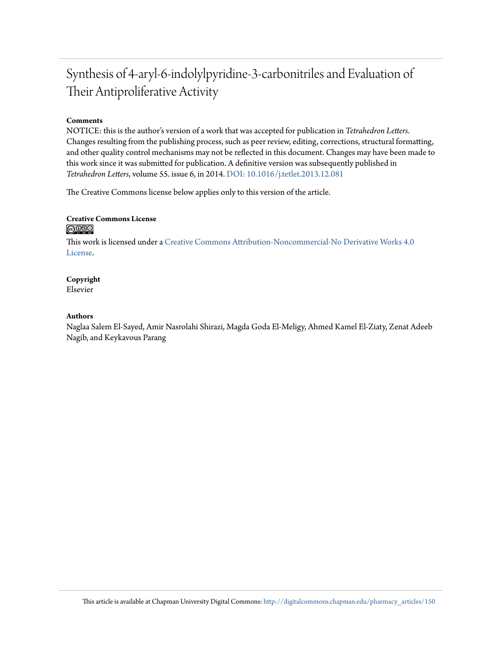# Synthesis of 4-aryl-6-indolylpyridine-3-carbonitriles and Evaluation of Their Antiproliferative Activity

#### **Comments**

NOTICE: this is the author's version of a work that was accepted for publication in *Tetrahedron Letters*. Changes resulting from the publishing process, such as peer review, editing, corrections, structural formatting, and other quality control mechanisms may not be reflected in this document. Changes may have been made to this work since it was submitted for publication. A definitive version was subsequently published in *Tetrahedron Letters*, volume 55. issue 6, in 2014. [DOI: 10.1016/j.tetlet.2013.12.081](http://dx.doi.org/10.1016/j.tetlet.2013.12.081)

The Creative Commons license below applies only to this version of the article.

#### **Creative Commons License**  $\bigcirc$   $\circ$

This work is licensed under a [Creative Commons Attribution-Noncommercial-No Derivative Works 4.0](http://creativecommons.org/licenses/by-nc-nd/4.0/) [License.](http://creativecommons.org/licenses/by-nc-nd/4.0/)

# **Copyright**

Elsevier

#### **Authors**

Naglaa Salem El-Sayed, Amir Nasrolahi Shirazi, Magda Goda El-Meligy, Ahmed Kamel El-Ziaty, Zenat Adeeb Nagib, and Keykavous Parang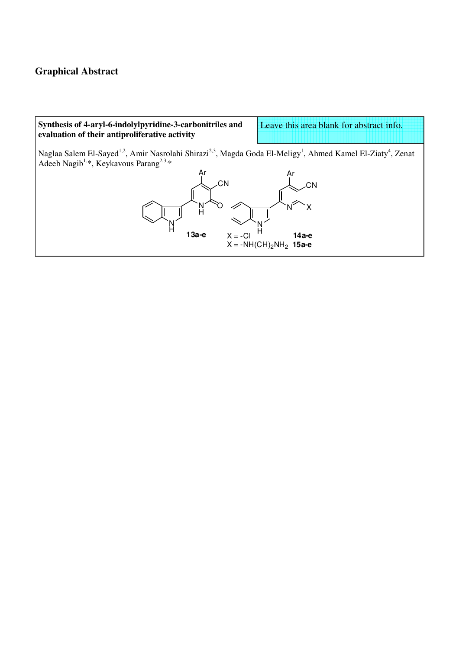## **Graphical Abstract**

### **Synthesis of 4-aryl-6-indolylpyridine-3-carbonitriles and evaluation of their antiproliferative activity**

Leave this area blank for abstract info.

Naglaa Salem El-Sayed<sup>1,2</sup>, Amir Nasrolahi Shirazi<sup>2,3</sup>, Magda Goda El-Meligy<sup>1</sup>, Ahmed Kamel El-Ziaty<sup>4</sup>, Zenat Adeeb Nagib<sup>1,\*</sup>, Keykavous Parang<sup>2,3,\*</sup>

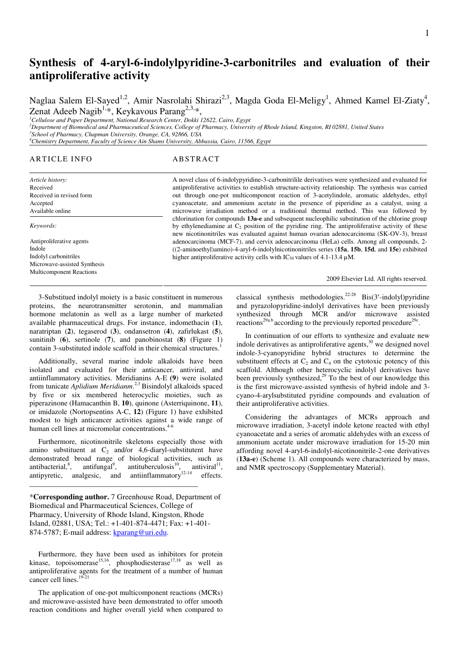# **Synthesis of 4-aryl-6-indolylpyridine-3-carbonitriles and evaluation of their antiproliferative activity**

Naglaa Salem El-Sayed<sup>1,2</sup>, Amir Nasrolahi Shirazi<sup>2,3</sup>, Magda Goda El-Meligy<sup>1</sup>, Ahmed Kamel El-Ziaty<sup>4</sup>, Zenat Adeeb Nagib<sup>1,\*</sup>, Keykavous Parang<sup>2,3,\*</sup>,

*<sup>1</sup>Cellulose and Paper Department, National Research Center, Dokki 12622, Cairo, Egypt* 

*<sup>2</sup>Department of Biomedical and Pharmaceutical Sciences, College of Pharmacy, University of Rhode Island, Kingston, RI 02881, United States* 

*3 School of Pharmacy, Chapman University, Orange, CA, 92866, USA <sup>4</sup>Chemistry Department, Faculty of Science Ain Shams University, Abbassia, Cairo, 11566, Egypt* 

#### ARTICLE INFO ABSTRACT

*Article history:*  Received Received in revised form Accepted Available online *Keywords:*  Antiproliferative agents Indole Indolyl carbonitriles

Microwave-assisted Synthesis Multicomponent Reactions

A novel class of 6-indolypyridine-3-carbonitrilile derivatives were synthesized and evaluated for antiproliferative activities to establish structure-activity relationship. The synthesis was carried out through one-pot multicomponent reaction of 3-acetylindole, aromatic aldehydes, ethyl cyanoacetate, and ammonium acetate in the presence of piperidine as a catalyst, using a microwave irradiation method or a traditional thermal method. This was followed by chlorination for compounds **13a-e** and subsequent nucleophilic substitution of the chlorine group by ethylenediamine at  $C_2$  position of the pyridine ring. The antiproliferative activity of these new nicotinonitriles was evaluated against human ovarian adenocarcinoma (SK-OV-3), breast adenocarcinoma (MCF-7), and cervix adenocarcinoma (HeLa) cells. Among all compounds, 2- ((2-aminoethyl)amino)-4-aryl-6-indolylnicotinonitriles series (**15a**, **15b**, **15d**, and **15e**) exhibited higher antiproliferative activity cells with  $IC_{50}$  values of 4.1-13.4  $\mu$ M.

2009 Elsevier Ltd. All rights reserved.

3-Substitued indolyl moiety is a basic constituent in numerous proteins, the neurotransmitter serotonin, and mammalian hormone melatonin as well as a large number of marketed available pharmaceutical drugs. For instance, indomethacin (**1**), naratriptan (**2**), tegaserod (**3**), ondansetron (**4**), zafirlukast (**5**), sunitinib (**6**), sertinole (**7**), and panobinostat (**8**) (Figure 1) contain 3-substituted indole scaffold in their chemical structures.<sup>1</sup>

Additionally, several marine indole alkaloids have been isolated and evaluated for their anticancer, antiviral, and antiinflammatory activities. Meridianins A-E **(9**) were isolated from tunicate *Aplidium Meridianm*. 2,3 Bisindolyl alkaloids spaced by five or six membered heterocyclic moieties, such as piperazinone (Hamacanthin B, **10**), quinone (Asterriquinone, **11**), or imidazole (Nortopsentins A-C, **12**) (Figure 1) have exhibited modest to high anticancer activities against a wide range of human cell lines at micromolar concentrations.<sup>46</sup>

Furthermore, nicotinonitrile skeletons especially those with amino substituent at  $C_2$  and/or 4,6-diaryl-substitutent have demonstrated broad range of biological activities, such as antibacterial,<sup>8</sup>, antifungal<sup>9</sup>, antituberculosis<sup>10</sup>, antiviral<sup>11</sup>, antipyretic, analgesic, and antiinflammatory $12-14$  effects.

\***Corresponding author.** 7 Greenhouse Road, Department of Biomedical and Pharmaceutical Sciences, College of Pharmacy, University of Rhode Island, Kingston, Rhode Island, 02881, USA; Tel.: +1-401-874-4471; Fax: +1-401- 874-5787; E-mail address: kparang@uri.edu.

\_\_\_\_\_\_\_\_\_\_\_\_\_\_\_\_\_\_\_\_\_\_\_\_\_\_\_\_\_\_\_\_\_\_\_\_\_\_\_\_\_\_\_\_\_\_

Furthermore, they have been used as inhibitors for protein kinase, topoisomerase<sup>15,16</sup>, phosphodiesterase<sup>17,18</sup> as well as antiproliferative agents for the treatment of a number of human cancer cell lines.<sup>19-21</sup>

The application of one-pot multicomponent reactions (MCRs) and microwave-assisted have been demonstrated to offer smooth reaction conditions and higher overall yield when compared to classical synthesis methodologies.<sup>22-28</sup> Bis(3'-indolyl)pyridine</sup> and pyrazolopyridine-indolyl derivatives have been previously synthesized through MCR and/or microwave assisted reactions<sup>29a.b</sup> according to the previously reported procedure<sup>29c</sup>.

In continuation of our efforts to synthesize and evaluate new indole derivatives as antiproliferative agents, $30$  we designed novel indole-3-cyanopyridine hybrid structures to determine the substituent effects at  $C_2$  and  $C_4$  on the cytotoxic potency of this scaffold. Although other heterocyclic indolyl derivatives have been previously synthesized,<sup>29</sup> To the best of our knowledge this is the first microwave-assisted synthesis of hybrid indole and 3 cyano-4-arylsubstituted pyridine compounds and evaluation of their antiproliferative activities.

Considering the advantages of MCRs approach and microwave irradiation, 3-acetyl indole ketone reacted with ethyl cyanoacetate and a series of aromatic aldehydes with an excess of ammonium acetate under microwave irradiation for 15-20 min affording novel 4-aryl-6-indolyl-nicotinonitrile-2-one derivatives (**13a-e**) (Scheme 1). All compounds were characterized by mass, and NMR spectroscopy (Supplementary Material).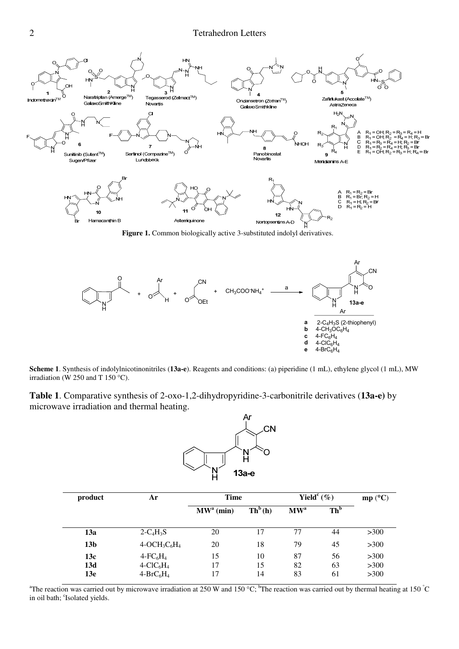

**Figure 1.** Common biologically active 3-substituted indolyl derivatives.



**Scheme 1**. Synthesis of indolylnicotinonitriles (**13a-e**). Reagents and conditions: (a) piperidine (1 mL), ethylene glycol (1 mL), MW irradiation (W 250 and T 150 °C).

**Table 1**. Comparative synthesis of 2-oxo-1,2-dihydropyridine-3-carbonitrile derivatives (**13a-e)** by microwave irradiation and thermal heating.



| product                       | Ar                                                                | <b>Time</b>           |                             | Yield <sup>c</sup> $(\%)$ |                 | mp (°C)              |
|-------------------------------|-------------------------------------------------------------------|-----------------------|-----------------------------|---------------------------|-----------------|----------------------|
|                               |                                                                   | MW <sup>a</sup> (min) | $\mathbf{Th}^b(\mathbf{h})$ | MW <sup>a</sup>           | Th <sup>b</sup> |                      |
| 13a                           | $2-C_4H_3S$                                                       | 20                    | 17                          | 77                        | 44              | >300                 |
| 13 <sub>b</sub>               | $4-OCH3C6H4$                                                      | 20                    | 18                          | 79                        | 45              | >300                 |
| 13c<br>13d<br>13 <sub>e</sub> | $4$ -FC <sub>6</sub> H <sub>4</sub><br>$4-CIC6H4$<br>$4-BrC_6H_4$ | 15<br>17<br>17        | 10<br>15<br>14              | 87<br>82<br>83            | 56<br>63<br>61  | >300<br>>300<br>>300 |

<sup>a</sup>The reaction was carried out by microwave irradiation at 250 W and 150 °C; <sup>b</sup>The reaction was carried out by thermal heating at 150 °C in oil bath; 'Isolated yields.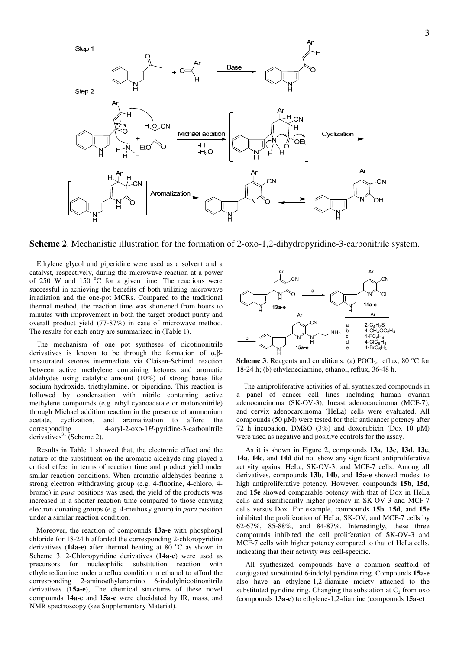

**Scheme 2**. Mechanistic illustration for the formation of 2-oxo-1,2-dihydropyridine-3-carbonitrile system.

Ethylene glycol and piperidine were used as a solvent and a catalyst, respectively, during the microwave reaction at a power of 250 W and 150  $\degree$ C for a given time. The reactions were successful in achieving the benefits of both utilizing microwave irradiation and the one-pot MCRs. Compared to the traditional thermal method, the reaction time was shortened from hours to minutes with improvement in both the target product purity and overall product yield (77-87%) in case of microwave method. The results for each entry are summarized in (Table 1).

The mechanism of one pot syntheses of nicotinonitrile derivatives is known to be through the formation of  $\alpha$ , $\beta$ unsaturated ketones intermediate via Claisen-Schimdt reaction between active methylene containing ketones and aromatic aldehydes using catalytic amount (10%) of strong bases like sodium hydroxide, triethylamine, or piperidine. This reaction is followed by condensation with nitrile containing active methylene compounds (e.g. ethyl cyanoacetate or malononitrile) through Michael addition reaction in the presence of ammonium<br>acetate. cvclization. and aromatization to afford the acetate, cyclization, and aromatization to afford the corresponding  $4-ary1-2-oxo-1H$ -pyridine-3-carbonitrile 4-aryl-2-oxo-1*H*-pyridine-3-carbonitrile derivatives<sup>31</sup> (Scheme 2).

Results in Table 1 showed that, the electronic effect and the nature of the substituent on the aromatic aldehyde ring played a critical effect in terms of reaction time and product yield under smilar reaction conditions. When aromatic aldehydes bearing a strong electron withdrawing group (e.g. 4-fluorine, 4-chloro, 4 bromo) in *para* positions was used, the yield of the products was increased in a shorter reaction time compared to those carrying electron donating groups (e.g. 4-methoxy group) in *para* position under a similar reaction condition.

Moreover, the reaction of compounds **13a-e** with phosphoryl chloride for 18-24 h afforded the corresponding 2-chloropyridine derivatives (14a-e) after thermal heating at 80 °C as shown in Scheme 3. 2-Chloropyridine derivatives (**14a-e**) were used as precursors for nucleophilic substitution reaction with ethylenediamine under a reflux condition in ethanol to afford the corresponding 2-aminoethylenamino 6-indolylnicotinonitrile derivatives (**15a-e**), The chemical structures of these novel compounds **14a-e** and **15a-e** were elucidated by IR, mass, and NMR spectroscopy (see Supplementary Material).



Scheme 3. Reagents and conditions: (a) POCl<sub>3</sub>, reflux, 80 °C for 18-24 h; (b) ethylenediamine, ethanol, reflux, 36-48 h.

The antiproliferative activities of all synthesized compounds in a panel of cancer cell lines including human ovarian adenocarcinoma (SK-OV-3), breast adenocarcinoma (MCF-7), and cervix adenocarcinoma (HeLa) cells were evaluated. All compounds (50 µM) were tested for their anticancer potency after 72 h incubation. DMSO (3%) and doxorubicin (Dox 10 µM) were used as negative and positive controls for the assay.

As it is shown in Figure 2, compounds **13a**, **13c**, **13d**, **13e**, **14a**, **14c**, and **14d** did not show any significant antiproliferative activity against HeLa, SK-OV-3, and MCF-7 cells. Among all derivatives, compounds **13b**, **14b**, and **15a-e** showed modest to high antiproliferative potency. However, compounds **15b**, **15d**, and **15e** showed comparable potency with that of Dox in HeLa cells and significantly higher potency in SK-OV-3 and MCF-7 cells versus Dox. For example, compounds **15b**, **15d**, and **15e** inhibited the proliferation of HeLa, SK-OV, and MCF-7 cells by 62-67%, 85-88%, and 84-87%. Interestingly, these three compounds inhibited the cell proliferation of SK-OV-3 and MCF-7 cells with higher potency compared to that of HeLa cells, indicating that their activity was cell-specific.

All synthesized compounds have a common scaffold of conjugated substituted 6-indolyl pyridine ring. Compounds **15a-e**  also have an ethylene-1,2-diamine moiety attached to the substituted pyridine ring. Changing the substation at  $C_2$  from oxo (compounds **13a-e**) to ethylene-1,2-diamine (compounds **15a-e)**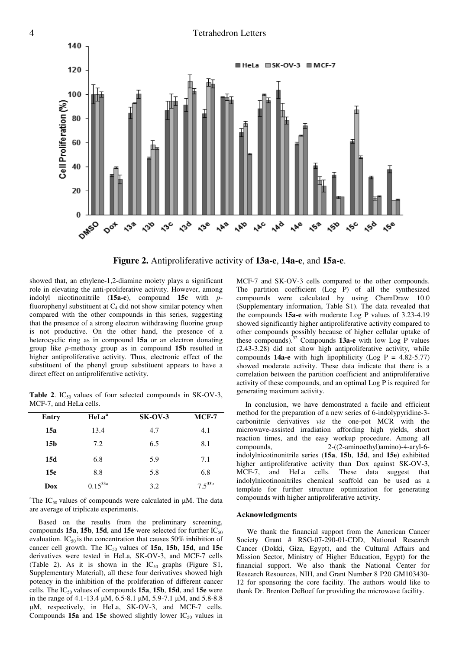#### 4 Tetrahedron Letters



**Figure 2.** Antiproliferative activity of **13a-e**, **14a-e**, and **15a-e**.

showed that, an ethylene-1,2-diamine moiety plays a significant role in elevating the anti-proliferative activity. However, among indolyl nicotinonitrile (**15a-e**), compound **15c** with *p*fluorophenyl substituent at  $C_4$  did not show similar potency when compared with the other compounds in this series, suggesting that the presence of a strong electron withdrawing fluorine group is not productive. On the other hand, the presence of a heterocyclic ring as in compound **15a** or an electron donating group like *p*-methoxy group as in compound **15b** resulted in higher antiproliferative activity. Thus, electronic effect of the substituent of the phenyl group substituent appears to have a direct effect on antiproliferative activity.

**Table 2.** IC<sub>50</sub> values of four selected compounds in SK-OV-3, MCF-7, and HeLa cells.

| Entry           | HeLa <sup>a</sup> | $SK-OV-3$ | $MCF-7$     |
|-----------------|-------------------|-----------|-------------|
| 15a             | 13.4              | 4.7       | 4.1         |
| 15 <sub>b</sub> | 7.2               | 6.5       | 8.1         |
| 15d             | 6.8               | 5.9       | 7.1         |
| 15 <sub>e</sub> | 8.8               | 5.8       | 6.8         |
| Dox             | $0.15^{33a}$      | 3.2       | $7.5^{33b}$ |

<sup>a</sup>The IC<sub>50</sub> values of compounds were calculated in  $\mu$ M. The data are average of triplicate experiments.

Based on the results from the preliminary screening, compounds **15a**, **15b**, **15d**, and **15e** were selected for further  $IC_{50}$ evaluation. IC<sub>50</sub> is the concentration that causes 50% inhibition of cancer cell growth. The IC<sub>50</sub> values of 15a, 15b, 15d, and 15e derivatives were tested in HeLa, SK-OV-3, and MCF-7 cells (Table 2). As it is shown in the  $IC_{50}$  graphs (Figure S1, Supplementary Material), all these four derivatives showed high potency in the inhibition of the proliferation of different cancer cells. The IC50 values of compounds **15a**, **15b**, **15d**, and **15e** were in the range of 4.1-13.4 µM, 6.5-8.1 µM, 5.9-7.1 µM, and 5.8-8.8 µM, respectively, in HeLa, SK-OV-3, and MCF-7 cells. Compounds  $15a$  and  $15e$  showed slightly lower  $IC_{50}$  values in MCF-7 and SK-OV-3 cells compared to the other compounds. The partition coefficient (Log P) of all the synthesized compounds were calculated by using ChemDraw 10.0 (Supplementary information, Table S1). The data revealed that the compounds **15a-e** with moderate Log P values of 3.23-4.19 showed significantly higher antiproliferative activity compared to other compounds possibly because of higher cellular uptake of these compounds).<sup>32</sup> Compounds **13a-e** with low Log P values (2.43-3.28) did not show high antiproliferative activity, while compounds **14a-e** with high lipophilicity (Log  $P = 4.82 - 5.77$ ) showed moderate activity. These data indicate that there is a correlation between the partition coefficient and antiproliferative activity of these compounds, and an optimal Log P is required for generating maximum activity.

In conclusion, we have demonstrated a facile and efficient method for the preparation of a new series of 6-indolypyridine-3 carbonitrile derivatives *via* the one-pot MCR with the microwave-assisted irradiation affording high yields, short reaction times, and the easy workup procedure. Among all compounds, 2-((2-aminoethyl)amino)-4-aryl-6 indolylnicotinonitrile series (**15a**, **15b**, **15d**, and **15e**) exhibited higher antiproliferative activity than Dox against SK-OV-3, MCF-7, and HeLa cells. These data suggest that indolylnicotinonitriles chemical scaffold can be used as a template for further structure optimization for generating compounds with higher antiproliferative activity.

#### **Acknowledgments**

We thank the financial support from the American Cancer Society Grant # RSG-07-290-01-CDD, National Research Cancer (Dokki, Giza, Egypt), and the Cultural Affairs and Mission Sector, Ministry of Higher Education, Egypt) for the financial support. We also thank the National Center for Research Resources, NIH, and Grant Number 8 P20 GM103430- 12 for sponsoring the core facility. The authors would like to thank Dr. Brenton DeBoef for providing the microwave facility.